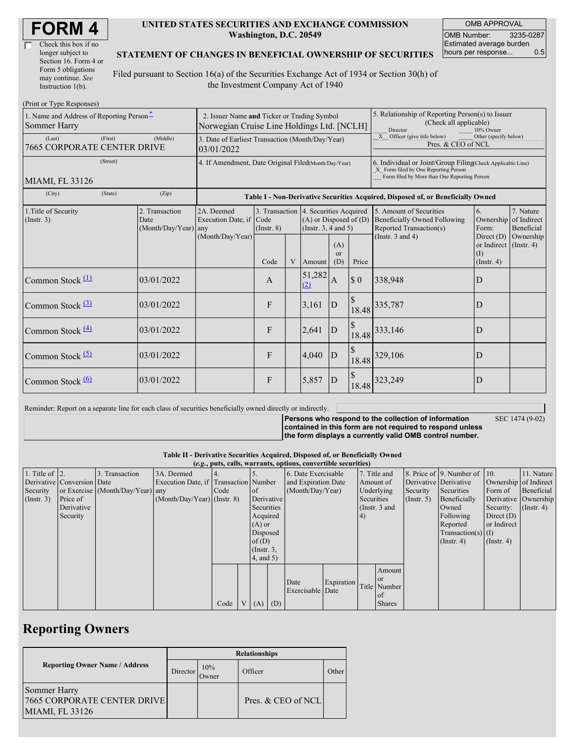| Check this box if no  |  |
|-----------------------|--|
| longer subject to     |  |
| Section 16. Form 4 or |  |
| Form 5 obligations    |  |
| may continue. See     |  |
| Instruction 1(b).     |  |

#### **UNITED STATES SECURITIES AND EXCHANGE COMMISSION Washington, D.C. 20549**

OMB APPROVAL OMB Number: 3235-0287 Estimated average burden hours per response... 0.5

### **STATEMENT OF CHANGES IN BENEFICIAL OWNERSHIP OF SECURITIES**

Filed pursuant to Section 16(a) of the Securities Exchange Act of 1934 or Section 30(h) of the Investment Company Act of 1940

| (Print or Type Responses)                                |                                                                                           |                                                                                  |                         |   |                                                                                                 |                                                                                                                                                    |                             |                                                                                           |                                                                         |                                        |
|----------------------------------------------------------|-------------------------------------------------------------------------------------------|----------------------------------------------------------------------------------|-------------------------|---|-------------------------------------------------------------------------------------------------|----------------------------------------------------------------------------------------------------------------------------------------------------|-----------------------------|-------------------------------------------------------------------------------------------|-------------------------------------------------------------------------|----------------------------------------|
| 1. Name and Address of Reporting Person-<br>Sommer Harry | 2. Issuer Name and Ticker or Trading Symbol<br>Norwegian Cruise Line Holdings Ltd. [NCLH] |                                                                                  |                         |   |                                                                                                 | 5. Relationship of Reporting Person(s) to Issuer<br>(Check all applicable)<br>Director<br>10% Owner                                                |                             |                                                                                           |                                                                         |                                        |
| (First)<br>(Last)<br>7665 CORPORATE CENTER DRIVE         | 3. Date of Earliest Transaction (Month/Day/Year)<br>03/01/2022                            |                                                                                  |                         |   |                                                                                                 | X Officer (give title below)<br>Other (specify below)<br>Pres. & CEO of NCL                                                                        |                             |                                                                                           |                                                                         |                                        |
| (Street)<br>MIAMI, FL 33126                              | 4. If Amendment, Date Original Filed(Month/Day/Year)                                      |                                                                                  |                         |   |                                                                                                 | 6. Individual or Joint/Group Filing(Check Applicable Line)<br>X Form filed by One Reporting Person<br>Form filed by More than One Reporting Person |                             |                                                                                           |                                                                         |                                        |
| (City)<br>(State)                                        | (Zip)                                                                                     | Table I - Non-Derivative Securities Acquired, Disposed of, or Beneficially Owned |                         |   |                                                                                                 |                                                                                                                                                    |                             |                                                                                           |                                                                         |                                        |
| 1. Title of Security<br>$($ Instr. 3 $)$                 | 2. Transaction<br>Date<br>$(Month/Day/Year)$ any                                          | 2A. Deemed<br>Execution Date, if                                                 | Code<br>$($ Instr. $8)$ |   | 3. Transaction 4. Securities Acquired<br>$(A)$ or Disposed of $(D)$<br>(Instr. $3, 4$ and $5$ ) |                                                                                                                                                    |                             | 5. Amount of Securities<br><b>Beneficially Owned Following</b><br>Reported Transaction(s) | 6.<br>Ownership<br>Form:                                                | 7. Nature<br>of Indirect<br>Beneficial |
|                                                          |                                                                                           | (Month/Day/Year)                                                                 | Code                    | V | Amount                                                                                          | (A)<br><sub>or</sub><br>(D)                                                                                                                        | Price                       | (Instr. $3$ and $4$ )                                                                     | Direct $(D)$<br>or Indirect $($ Instr. 4 $)$<br>(I)<br>$($ Instr. 4 $)$ | Ownership                              |
| Common Stock $(1)$                                       | 03/01/2022                                                                                |                                                                                  | A                       |   | 51,282<br>(2)                                                                                   | Α                                                                                                                                                  | $\boldsymbol{\mathsf{S}}$ 0 | 338,948                                                                                   | D                                                                       |                                        |
| Common Stock $(3)$                                       | 03/01/2022                                                                                |                                                                                  | F                       |   | 3,161                                                                                           | D                                                                                                                                                  | \$<br>18.48                 | 335,787                                                                                   | D                                                                       |                                        |
| Common Stock $\frac{(4)}{4}$                             | 03/01/2022                                                                                |                                                                                  | F                       |   | 2,641                                                                                           | D                                                                                                                                                  | 18.48                       | 333,146                                                                                   | D                                                                       |                                        |
| Common Stock $(5)$                                       | 03/01/2022                                                                                |                                                                                  | F                       |   | 4,040                                                                                           | D                                                                                                                                                  | 18.48                       | 329,106                                                                                   | D                                                                       |                                        |
| Common Stock $\frac{(6)}{6}$                             | 03/01/2022                                                                                |                                                                                  | F                       |   | 5,857                                                                                           | $\mathbf D$                                                                                                                                        | 18.48                       | 323,249                                                                                   | D                                                                       |                                        |

Reminder: Report on a separate line for each class of securities beneficially owned directly or indirectly.

**Persons who respond to the collection of information contained in this form are not required to respond unless**

SEC 1474 (9-02)

**the form displays a currently valid OMB control number.**

**Table II - Derivative Securities Acquired, Disposed of, or Beneficially Owned**

|                        | (e.g., puts, calls, warrants, options, convertible securities) |                                  |                                       |      |  |                  |                  |                          |                 |              |                  |                      |                          |                       |            |
|------------------------|----------------------------------------------------------------|----------------------------------|---------------------------------------|------|--|------------------|------------------|--------------------------|-----------------|--------------|------------------|----------------------|--------------------------|-----------------------|------------|
| 1. Title of $\vert$ 2. |                                                                | 3. Transaction                   | 3A. Deemed                            |      |  |                  |                  | 6. Date Exercisable      |                 | 7. Title and |                  |                      | 8. Price of 9. Number of | $\vert$ 10.           | 11. Nature |
|                        | Derivative Conversion Date                                     |                                  | Execution Date, if Transaction Number |      |  |                  |                  | and Expiration Date      |                 | Amount of    |                  |                      | Derivative Derivative    | Ownership of Indirect |            |
| Security               |                                                                | or Exercise (Month/Day/Year) any |                                       | Code |  | <sub>of</sub>    | (Month/Day/Year) |                          |                 | Underlying   |                  | Security             | Securities               | Form of               | Beneficial |
| $($ Instr. 3 $)$       | Price of                                                       |                                  | $(Month/Day/Year)$ (Instr. 8)         |      |  |                  | Derivative       |                          | Securities      |              | $($ Instr. 5 $)$ | Beneficially         | Derivative Ownership     |                       |            |
|                        | Derivative                                                     |                                  |                                       |      |  |                  | Securities       |                          | (Instr. $3$ and |              |                  | Owned                | Security:                | $($ Instr. 4 $)$      |            |
|                        | Security                                                       |                                  |                                       |      |  |                  | Acquired         |                          | 4)              |              |                  | Following            | Direct $(D)$             |                       |            |
|                        |                                                                |                                  |                                       |      |  |                  | $(A)$ or         |                          |                 |              |                  | Reported             | or Indirect              |                       |            |
|                        |                                                                |                                  |                                       |      |  |                  | Disposed         |                          |                 |              |                  | $Transaction(s)$ (I) |                          |                       |            |
|                        |                                                                |                                  |                                       |      |  | of $(D)$         |                  |                          |                 |              | $($ Instr. 4)    | $($ Instr. 4 $)$     |                          |                       |            |
|                        |                                                                |                                  |                                       |      |  | $($ Instr. $3$ , |                  |                          |                 |              |                  |                      |                          |                       |            |
|                        |                                                                |                                  |                                       |      |  | $4$ , and $5$ )  |                  |                          |                 |              |                  |                      |                          |                       |            |
|                        |                                                                |                                  |                                       |      |  |                  |                  |                          |                 |              | Amount           |                      |                          |                       |            |
|                        |                                                                |                                  |                                       |      |  |                  |                  |                          |                 |              | <b>or</b>        |                      |                          |                       |            |
|                        |                                                                |                                  |                                       |      |  |                  |                  | Date<br>Exercisable Date | Expiration      |              | Title Number     |                      |                          |                       |            |
|                        |                                                                |                                  |                                       |      |  |                  |                  |                          |                 |              | <sub>of</sub>    |                      |                          |                       |            |
|                        |                                                                |                                  |                                       | Code |  | $V(A)$ (D)       |                  |                          |                 |              | <b>Shares</b>    |                      |                          |                       |            |

## **Reporting Owners**

|                                                                       | <b>Relationships</b> |              |                    |       |  |  |  |  |
|-----------------------------------------------------------------------|----------------------|--------------|--------------------|-------|--|--|--|--|
| <b>Reporting Owner Name / Address</b><br>Director                     |                      | 10%<br>Jwner | Officer            | Other |  |  |  |  |
| Sommer Harry<br><b>7665 CORPORATE CENTER DRIVE</b><br>MIAMI, FL 33126 |                      |              | Pres. & CEO of NCL |       |  |  |  |  |